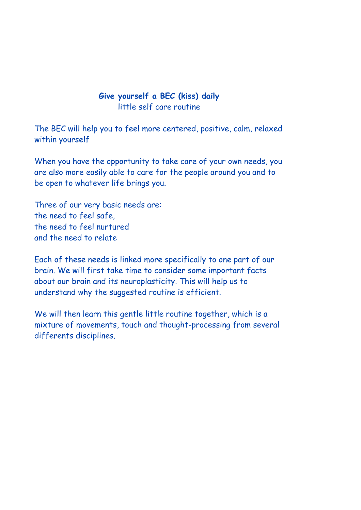### **Give yourself a BEC (kiss) daily**  little self care routine

The BEC will help you to feel more centered, positive, calm, relaxed within yourself

When you have the opportunity to take care of your own needs, you are also more easily able to care for the people around you and to be open to whatever life brings you.

Three of our very basic needs are: the need to feel safe, the need to feel nurtured and the need to relate

Each of these needs is linked more specifically to one part of our brain. We will first take time to consider some important facts about our brain and its neuroplasticity. This will help us to understand why the suggested routine is efficient.

We will then learn this gentle little routine together, which is a mixture of movements, touch and thought-processing from several differents disciplines.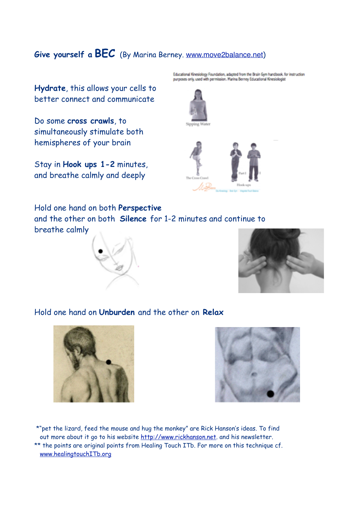## **Give yourself a BEC** (By Marina Berney. [www.move2balance.net](http://www.move2balance.net))

**Hydrate**, this allows your cells to better connect and communicate

Do some **cross crawls**, to simultaneously stimulate both hemispheres of your brain

Stay in **Hook ups 1-2** minutes, and breathe calmly and deeply

Educational Kinesiology Foundation, adapted from the Brain Gym handbook. for instruction<br>purposes only, used with permission. Marina Berney Educational Kinesiologist



Hold one hand on both **Perspective**  and the other on both **Silence** for 1-2 minutes and continue to breathe calmly





#### Hold one hand on **Unburden** and the other on **Relax**





 \*"pet the lizard, feed the mouse and hug the monkey" are Rick Hanson's ideas. To find out more about it go to his website<http://www.rickhanson.net>. and his newsletter. \*\* the points are original points from Healing Touch ITb. For more on this technique cf. [www.healingtouchITb.org](http://www.healingtouchITb.org)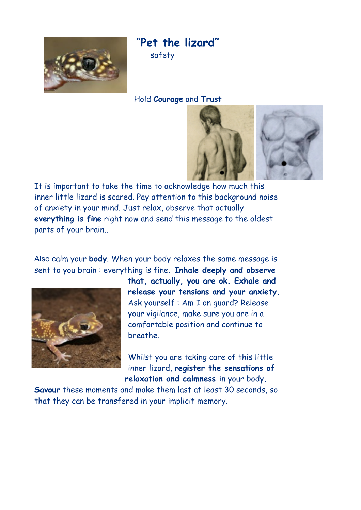

"**Pet the lizard"** safety

#### Hold **Courage** and **Trust**



It is important to take the time to acknowledge how much this inner little lizard is scared. Pay attention to this background noise of anxiety in your mind. Just relax, observe that actually **everything is fine** right now and send this message to the oldest parts of your brain..

Also calm your **body**. When your body relaxes the same message is sent to you brain : everything is fine. **Inhale deeply and observe** 



**that, actually, you are ok. Exhale and release your tensions and your anxiety.** Ask yourself : Am I on guard? Release your vigilance, make sure you are in a comfortable position and continue to breathe.

Whilst you are taking care of this little inner lizard, **register the sensations of relaxation and calmness** in your body**.** 

**Savour** these moments and make them last at least 30 seconds, so that they can be transfered in your implicit memory.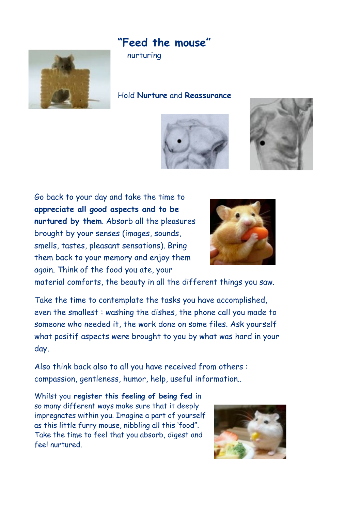# **"Feed the mouse"**



nurturing

Hold **Nurture** and **Reassurance**





Go back to your day and take the time to **appreciate all good aspects and to be nurtured by them**. Absorb all the pleasures brought by your senses (images, sounds, smells, tastes, pleasant sensations). Bring them back to your memory and enjoy them again. Think of the food you ate, your



material comforts, the beauty in all the different things you saw.

Take the time to contemplate the tasks you have accomplished, even the smallest : washing the dishes, the phone call you made to someone who needed it, the work done on some files. Ask yourself what positif aspects were brought to you by what was hard in your day.

Also think back also to all you have received from others : compassion, gentleness, humor, help, useful information..

Whilst you **register this feeling of being fed** in so many different ways make sure that it deeply impregnates within you. Imagine a part of yourself as this little furry mouse, nibbling all this 'food". Take the time to feel that you absorb, digest and feel nurtured.